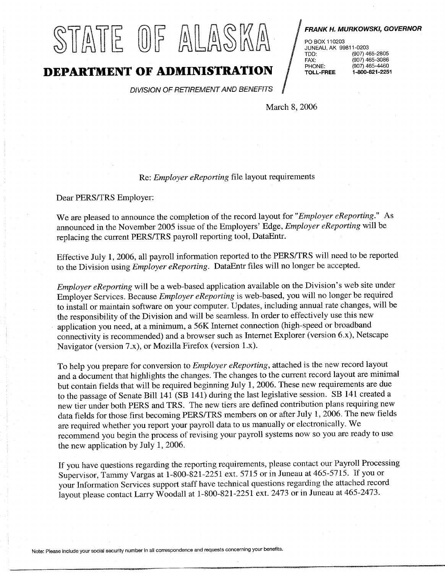# STATE OF ALASKA

# **DEPARTMENT OF ADMINISTRATION**

**DIVISION OF RETIREMENT AND BENEFITS** 

**FRANK H. MURKOWSKI, GOVERNOR** 

PO BOX 110203 JUNEAU, AK 99811-0203 TDD: (907) 465-2805 (907) 465-3086 FAX:  $(907)$  465-4460 PHONE: TOLL-FREE

1-800-821-2251

March 8, 2006

Re: *Employer eReporting* file layout requirements

Dear PERS/TRS Employer:

We are pleased to announce the completion of the record layout for "Employer eReporting." As announced in the November 2005 issue of the Employers' Edge, *Employer eReporting* will be replacing the current PERS/TRS payroll reporting tool, DataEntr.

Effective July 1, 2006, all payroll information reported to the PERS/TRS will need to be reported to the Division using *Employer eReporting*. DataEntr files will no longer be accepted.

Employer eReporting will be a web-based application available on the Division's web site under Employer Services. Because *Employer eReporting* is web-based, you will no longer be required to install or maintain software on your computer. Updates, including annual rate changes, will be the responsibility of the Division and will be seamless. In order to effectively use this new application you need, at a minimum, a 56K Internet connection (high-speed or broadband connectivity is recommended) and a browser such as Internet Explorer (version 6.x), Netscape Navigator (version 7.x), or Mozilla Firefox (version 1.x).

To help you prepare for conversion to *Employer eReporting*, attached is the new record layout and a document that highlights the changes. The changes to the current record layout are minimal but contain fields that will be required beginning July 1, 2006. These new requirements are due to the passage of Senate Bill 141 (SB 141) during the last legislative session. SB 141 created a new tier under both PERS and TRS. The new tiers are defined contribution plans requiring new data fields for those first becoming PERS/TRS members on or after July 1, 2006. The new fields are required whether you report your payroll data to us manually or electronically. We recommend you begin the process of revising your payroll systems now so you are ready to use the new application by July 1, 2006.

If you have questions regarding the reporting requirements, please contact our Payroll Processing Supervisor, Tammy Vargas at 1-800-821-2251 ext. 5715 or in Juneau at 465-5715. If you or your Information Services support staff have technical questions regarding the attached record layout please contact Larry Woodall at 1-800-821-2251 ext. 2473 or in Juneau at 465-2473.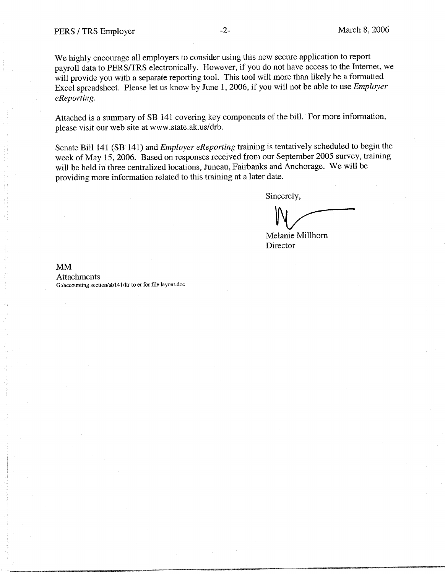We highly encourage all employers to consider using this new secure application to report payroll data to PERS/TRS electronically. However, if you do not have access to the Internet, we will provide you with a separate reporting tool. This tool will more than likely be a formatted Excel spreadsheet. Please let us know by June 1, 2006, if you will not be able to use *Employer* eReporting.

Attached is a summary of SB 141 covering key components of the bill. For more information, please visit our web site at www.state.ak.us/drb.

Senate Bill 141 (SB 141) and *Employer eReporting* training is tentatively scheduled to begin the week of May 15, 2006. Based on responses received from our September 2005 survey, training will be held in three centralized locations, Juneau, Fairbanks and Anchorage. We will be providing more information related to this training at a later date.

Sincerely,

Melanie Millhorn Director

**MM** Attachments G:/accounting section/sb141/ltr to er for file layout.doc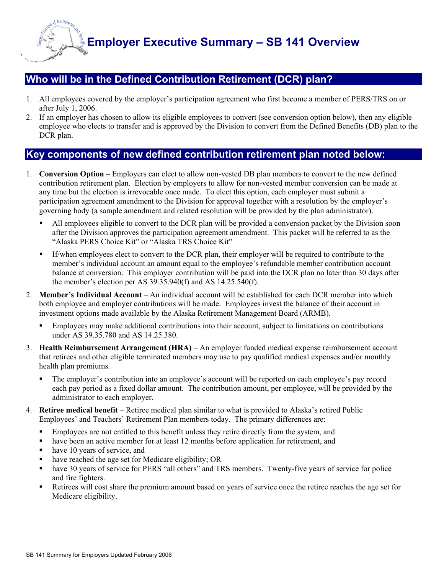**Employer Executive Summary – SB 141 Overview**

## **Who will be in the Defined Contribution Retirement (DCR) plan?**

- 1. All employees covered by the employer's participation agreement who first become a member of PERS/TRS on or after July 1, 2006.
- 2. If an employer has chosen to allow its eligible employees to convert (see conversion option below), then any eligible employee who elects to transfer and is approved by the Division to convert from the Defined Benefits (DB) plan to the DCR plan.

## **Key components of new defined contribution retirement plan noted below:**

- 1. **Conversion Option** Employers can elect to allow non-vested DB plan members to convert to the new defined contribution retirement plan. Election by employers to allow for non-vested member conversion can be made at any time but the election is irrevocable once made. To elect this option, each employer must submit a participation agreement amendment to the Division for approval together with a resolution by the employer's governing body (a sample amendment and related resolution will be provided by the plan administrator).
	- All employees eligible to convert to the DCR plan will be provided a conversion packet by the Division soon after the Division approves the participation agreement amendment. This packet will be referred to as the "Alaska PERS Choice Kit" or "Alaska TRS Choice Kit"
	- If/when employees elect to convert to the DCR plan, their employer will be required to contribute to the member's individual account an amount equal to the employee's refundable member contribution account balance at conversion. This employer contribution will be paid into the DCR plan no later than 30 days after the member's election per AS 39.35.940(f) and AS 14.25.540(f).
- 2. **Member's Individual Account** An individual account will be established for each DCR member into which both employee and employer contributions will be made. Employees invest the balance of their account in investment options made available by the Alaska Retirement Management Board (ARMB).
	- Employees may make additional contributions into their account, subject to limitations on contributions under AS 39.35.780 and AS 14.25.380.
- 3. **Health Reimbursement Arrangement (HRA)** An employer funded medical expense reimbursement account that retirees and other eligible terminated members may use to pay qualified medical expenses and/or monthly health plan premiums.
	- The employer's contribution into an employee's account will be reported on each employee's pay record each pay period as a fixed dollar amount. The contribution amount, per employee, will be provided by the administrator to each employer.
- 4. **Retiree medical benefit** Retiree medical plan similar to what is provided to Alaska's retired Public Employees' and Teachers' Retirement Plan members today. The primary differences are:
	- **Employees are not entitled to this benefit unless they retire directly from the system, and**
	- **have been an active member for at least 12 months before application for retirement, and**
	- have 10 years of service, and

of Retireme

- have reached the age set for Medicare eligibility; OR
- have 30 years of service for PERS "all others" and TRS members. Twenty-five years of service for police and fire fighters.
- Retirees will cost share the premium amount based on years of service once the retiree reaches the age set for Medicare eligibility.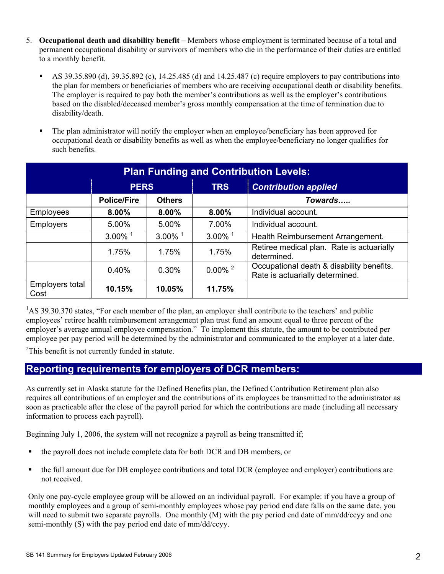- 5. **Occupational death and disability benefit**  Members whose employment is terminated because of a total and permanent occupational disability or survivors of members who die in the performance of their duties are entitled to a monthly benefit.
	- AS 39.35.890 (d), 39.35.892 (c), 14.25.485 (d) and 14.25.487 (c) require employers to pay contributions into the plan for members or beneficiaries of members who are receiving occupational death or disability benefits. The employer is required to pay both the member's contributions as well as the employer's contributions based on the disabled/deceased member's gross monthly compensation at the time of termination due to disability/death.
	- The plan administrator will notify the employer when an employee/beneficiary has been approved for occupational death or disability benefits as well as when the employee/beneficiary no longer qualifies for such benefits.

| <b>Plan Funding and Contribution Levels:</b> |                       |                       |                       |                                                                              |  |  |  |  |  |  |
|----------------------------------------------|-----------------------|-----------------------|-----------------------|------------------------------------------------------------------------------|--|--|--|--|--|--|
|                                              | <b>PERS</b>           |                       | <b>TRS</b>            | <b>Contribution applied</b>                                                  |  |  |  |  |  |  |
|                                              | <b>Police/Fire</b>    | <b>Others</b>         |                       | Towards                                                                      |  |  |  |  |  |  |
| <b>Employees</b>                             | $8.00\%$              | 8.00%                 | $8.00\%$              | Individual account.                                                          |  |  |  |  |  |  |
| <b>Employers</b>                             | 5.00%                 | 5.00%                 | 7.00%                 | Individual account.                                                          |  |  |  |  |  |  |
|                                              | $3.00\%$ <sup>1</sup> | $3.00\%$ <sup>1</sup> | $3.00\%$ <sup>1</sup> | Health Reimbursement Arrangement.                                            |  |  |  |  |  |  |
|                                              | 1.75%                 | 1.75%                 | 1.75%                 | Retiree medical plan. Rate is actuarially<br>determined.                     |  |  |  |  |  |  |
|                                              | 0.40%                 | 0.30%                 | $0.00\%$ <sup>2</sup> | Occupational death & disability benefits.<br>Rate is actuarially determined. |  |  |  |  |  |  |
| Employers total<br>Cost                      | 10.15%                | 10.05%                | 11.75%                |                                                                              |  |  |  |  |  |  |

<sup>1</sup>AS 39.30.370 states, "For each member of the plan, an employer shall contribute to the teachers' and public employees' retiree health reimbursement arrangement plan trust fund an amount equal to three percent of the employer's average annual employee compensation." To implement this statute, the amount to be contributed per employee per pay period will be determined by the administrator and communicated to the employer at a later date.

<sup>2</sup>This benefit is not currently funded in statute.

## **Reporting requirements for employers of DCR members:**

As currently set in Alaska statute for the Defined Benefits plan, the Defined Contribution Retirement plan also requires all contributions of an employer and the contributions of its employees be transmitted to the administrator as soon as practicable after the close of the payroll period for which the contributions are made (including all necessary information to process each payroll).

Beginning July 1, 2006, the system will not recognize a payroll as being transmitted if;

- the payroll does not include complete data for both DCR and DB members, or
- the full amount due for DB employee contributions and total DCR (employee and employer) contributions are not received.

Only one pay-cycle employee group will be allowed on an individual payroll. For example: if you have a group of monthly employees and a group of semi-monthly employees whose pay period end date falls on the same date, you will need to submit two separate payrolls. One monthly (M) with the pay period end date of mm/dd/ccyy and one semi-monthly (S) with the pay period end date of mm/dd/ccyy.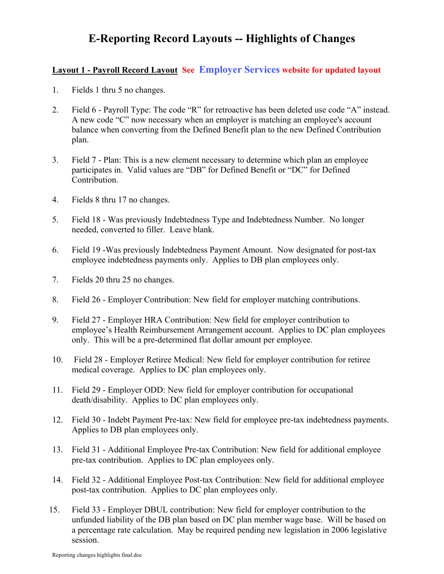# **E-Reporting Record Layouts -- Highlights of Changes**

## **Layout 1 - Payroll Record Layout See Employer Services website for updated layout**

- 1. Fields 1 thru 5 no changes.
- 2. Field 6 Payroll Type: The code "R" for retroactive has been deleted use code "A" instead. A new code "C" now necessary when an employer is matching an employee's account balance when converting from the Defined Benefit plan to the new Defined Contribution plan.
- 3. Field 7 Plan: This is a new element necessary to determine which plan an employee participates in. Valid values are "DB" for Defined Benefit or "DC" for Defined Contribution.
- 4. Fields 8 thru 17 no changes.
- 5. Field 18 Was previously Indebtedness Type and Indebtedness Number. No longer needed, converted to filler. Leave blank.
- 6. Field 19 -Was previously Indebtedness Payment Amount. Now designated for post-tax employee indebtedness payments only. Applies to DB plan employees only.
- 7. Fields 20 thru 25 no changes.
- 8. Field 26 Employer Contribution: New field for employer matching contributions.
- 9. Field 27 Employer HRA Contribution: New field for employer contribution to employee's Health Reimbursement Arrangement account. Applies to DC plan employees only. This will be a pre-determined flat dollar amount per employee.
- 10. Field 28 Employer Retiree Medical: New field for employer contribution for retiree medical coverage. Applies to DC plan employees only.
- 11. Field 29 Employer ODD: New field for employer contribution for occupational death/disability. Applies to DC plan employees only.
- 12. Field 30 Indebt Payment Pre-tax: New field for employee pre-tax indebtedness payments. Applies to DB plan employees only.
- 13. Field 31 Additional Employee Pre-tax Contribution: New field for additional employee pre-tax contribution. Applies to DC plan employees only.
- 14. Field 32 Additional Employee Post-tax Contribution: New field for additional employee post-tax contribution. Applies to DC plan employees only.
- 15. Field 33 Employer DBUL contribution: New field for employer contribution to the unfunded liability of the DB plan based on DC plan member wage base. Will be based on a percentage rate calculation. May be required pending new legislation in 2006 legislative session.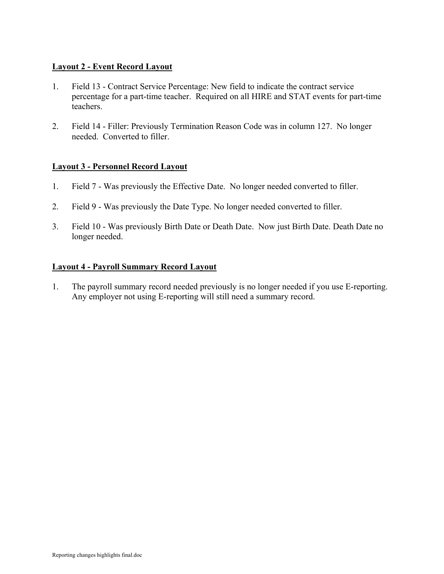## **Layout 2 - Event Record Layout**

- 1. Field 13 Contract Service Percentage: New field to indicate the contract service percentage for a part-time teacher. Required on all HIRE and STAT events for part-time teachers.
- 2. Field 14 Filler: Previously Termination Reason Code was in column 127. No longer needed. Converted to filler.

## **Layout 3 - Personnel Record Layout**

- 1. Field 7 Was previously the Effective Date. No longer needed converted to filler.
- 2. Field 9 Was previously the Date Type. No longer needed converted to filler.
- 3. Field 10 Was previously Birth Date or Death Date. Now just Birth Date. Death Date no longer needed.

#### **Layout 4 - Payroll Summary Record Layout**

1. The payroll summary record needed previously is no longer needed if you use E-reporting. Any employer not using E-reporting will still need a summary record.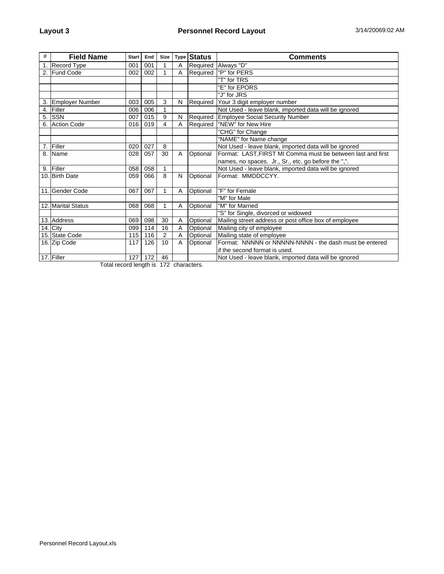| #  | <b>Field Name</b>  | <b>Start</b> | End | <b>Size</b>    |   | <b>Type Status</b> | <b>Comments</b>                                             |
|----|--------------------|--------------|-----|----------------|---|--------------------|-------------------------------------------------------------|
|    | 1. Record Type     | 001          | 001 | 1              | A | Required           | Always "D"                                                  |
|    | 2. Fund Code       | 002          | 002 | 1              | Α | Required           | I"P" for PERS                                               |
|    |                    |              |     |                |   |                    | $\overline{T}$ for TRS                                      |
|    |                    |              |     |                |   |                    | "E" for EPORS                                               |
|    |                    |              |     |                |   |                    | "J" for JRS                                                 |
| 3. | Employer Number    | 003          | 005 | 3              | N | Required           | Your 3 digit employer number                                |
| 4. | Filler             | 006          | 006 | $\mathbf{1}$   |   |                    | Not Used - leave blank, imported data will be ignored       |
| 5. | <b>SSN</b>         | 007          | 015 | 9              | N | Required           | <b>Employee Social Security Number</b>                      |
| 6. | <b>Action Code</b> | 016          | 019 | 4              | A | Required           | I"NEW" for New Hire                                         |
|    |                    |              |     |                |   |                    | "CHG" for Change                                            |
|    |                    |              |     |                |   |                    | "NAME" for Name change                                      |
|    | 7. Filler          | 020          | 027 | 8              |   |                    | Not Used - leave blank, imported data will be ignored       |
|    | 8. Name            | 028          | 057 | 30             | A | Optional           | Format: LAST, FIRST MI Comma must be between last and first |
|    |                    |              |     |                |   |                    | names, no spaces. Jr., Sr., etc. go before the ",".         |
|    | 9. Filler          | 058          | 058 | $\mathbf{1}$   |   |                    | Not Used - leave blank, imported data will be ignored       |
|    | 10. Birth Date     | 059          | 066 | 8              | N | Optional           | Format: MMDDCCYY.                                           |
|    |                    |              |     |                |   |                    |                                                             |
|    | 11. Gender Code    | 067          | 067 | 1              | Α | Optional           | "F" for Female                                              |
|    |                    |              |     |                |   |                    | "M" for Male                                                |
|    | 12. Marital Status | 068          | 068 | 1              | A | Optional           | "M" for Married                                             |
|    |                    |              |     |                |   |                    | "S" for Single, divorced or widowed                         |
|    | 13. Address        | 069          | 098 | 30             | A | Optional           | Mailing street address or post office box of employee       |
|    | 14. City           | 099          | 114 | 16             | A | Optional           | Mailing city of employee                                    |
|    | 15. State Code     | 115          | 116 | $\overline{2}$ | A | Optional           | Mailing state of employee                                   |
|    | 16. Zip Code       | 117          | 126 | 10             | A | Optional           | Format: NNNNN or NNNNN-NNNN - the dash must be entered      |
|    |                    |              |     |                |   |                    | if the second format is used.                               |
|    | 17. Filler         | 127          | 172 | 46             |   |                    | Not Used - leave blank, imported data will be ignored       |

Total record length is 172 characters.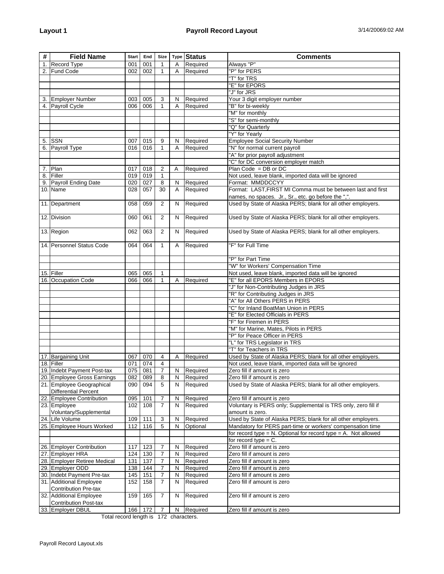| Always "P"<br>Record Type<br>Α<br>Required<br>1.<br>001<br>001<br>1<br>"P" for PERS<br><b>Fund Code</b><br>002<br>002<br>$\mathbf{1}$<br>A<br>Required<br>2.<br>"T" for TRS<br>"E" for EPORS<br>"J" for JRS<br>3. Employer Number<br>Required<br>Your 3 digit employer number<br>003<br>005<br>3<br>N<br>'B" for bi-weekly<br>4. Payroll Cycle<br>006<br>006<br>A<br>Required<br>$\mathbf{1}$<br>"M" for monthly<br>"S" for semi-monthly<br>"Q" for Quarterly<br>"Y" for Yearly<br><b>Employee Social Security Number</b><br><b>SSN</b><br>Required<br>007<br>015<br>9<br>5.<br>N<br>"N" for normal current payroll<br>6. Payroll Type<br>016<br>Required<br>016<br>A<br>1<br>"A" for prior payroll adjustment<br>"C" for DC conversion employer match<br>7. Plan<br>Plan Code = DB or DC<br>017<br>018<br>Required<br>2<br>Α<br>Not used, leave blank, imported data will be ignored<br>8. Filler<br>019<br>019<br>$\mathbf{1}$<br>Required<br>9. Payroll Ending Date<br>020<br>027<br>Format: MMDDCCYY<br>8<br>N<br>Format: LAST, FIRST MI Comma must be between last and first<br>10. Name<br>028<br>057<br>30<br>Required<br>A<br>names, no spaces. Jr., Sr., etc. go before the ",".<br>Used by State of Alaska PERS; blank for all other employers.<br>058<br>059<br>$\overline{2}$<br>Required<br>N<br>Required<br>Used by State of Alaska PERS; blank for all other employers.<br>060<br>061<br>2<br>N<br>13. Region<br>062<br>063<br>2<br>Required<br>Used by State of Alaska PERS; blank for all other employers.<br>N<br>14. Personnel Status Code<br>"F" for Full Time<br>064<br>$\mathbf{1}$<br>Required<br>064<br>A<br>"P" for Part Time<br>"W" for Workers' Compensation Time<br>Not used, leave blank, imported data will be ignored<br>15. Filler<br>065<br>065<br>$\mathbf{1}$<br>"E" for all EPORS Members in EPORS<br>16. Occupation Code<br>$\mathbf{1}$<br>Required<br>066<br>066<br>A<br>"J" for Non-Contributing Judges in JRS<br>"R" for Contributing Judges in JRS<br>"A" for All Others PERS in PERS<br>'C" for Inland BoatMan Union in PERS<br>"E" for Elected Officials in PERS<br>"F" for Firemen in PERS<br>"M" for Marine, Mates, Pilots in PERS<br>"P" for Peace Officer in PERS<br>"L" for TRS Legislator in TRS<br>"T" for Teachers in TRS<br>17. Bargaining Unit<br>Used by State of Alaska PERS; blank for all other employers.<br>Required<br>067<br>070<br>4<br>Α<br>18. Filler<br>Not used, leave blank, imported data will be ignored<br>071<br>074<br>4<br>19. Indebt Payment Post-tax<br>075<br>081<br>7<br>Required<br>Zero fill if amount is zero<br>N<br>082 089<br>$\overline{N}$<br>8<br>Required<br>Zero fill if amount is zero<br>094<br>5<br>Required<br>Used by State of Alaska PERS; blank for all other employers.<br>090<br>N<br><b>Differential Percent</b><br>095<br>101<br>7<br>Required<br>Zero fill if amount is zero<br>N<br>$\overline{7}$<br>Voluntary is PERS only; Supplemental is TRS only, zero fill if<br>102<br>108<br>Required<br>N<br>Voluntary/Supplemental<br>amount is zero.<br>24. Life Volume<br>109<br>111<br>Required<br>Used by State of Alaska PERS; blank for all other employers.<br>3<br>N<br>112<br>116<br>Optional<br>Mandatory for PERS part-time or workers' compensation time<br>5<br>N<br>for record type = N. Optional for record type = $\overline{A}$ . Not allowed<br>for record type $= C$ .<br>26. Employer Contribution<br>117<br>Required<br>Zero fill if amount is zero<br>123<br>7<br>N<br>124<br>130<br>$\overline{7}$<br>Required<br>Zero fill if amount is zero<br>N<br>Required<br>131<br>Zero fill if amount is zero<br>137<br>7<br>N<br>29. Employer ODD | # | <b>Field Name</b> | <b>Start</b> | End | Size |   | Type Status | <b>Comments</b>             |
|-------------------------------------------------------------------------------------------------------------------------------------------------------------------------------------------------------------------------------------------------------------------------------------------------------------------------------------------------------------------------------------------------------------------------------------------------------------------------------------------------------------------------------------------------------------------------------------------------------------------------------------------------------------------------------------------------------------------------------------------------------------------------------------------------------------------------------------------------------------------------------------------------------------------------------------------------------------------------------------------------------------------------------------------------------------------------------------------------------------------------------------------------------------------------------------------------------------------------------------------------------------------------------------------------------------------------------------------------------------------------------------------------------------------------------------------------------------------------------------------------------------------------------------------------------------------------------------------------------------------------------------------------------------------------------------------------------------------------------------------------------------------------------------------------------------------------------------------------------------------------------------------------------------------------------------------------------------------------------------------------------------------------------------------------------------------------------------------------------------------------------------------------------------------------------------------------------------------------------------------------------------------------------------------------------------------------------------------------------------------------------------------------------------------------------------------------------------------------------------------------------------------------------------------------------------------------------------------------------------------------------------------------------------------------------------------------------------------------------------------------------------------------------------------------------------------------------------------------------------------------------------------------------------------------------------------------------------------------------------------------------------------------------------------------------------------------------------------------------------------------------------------------------------------------------------------------------------------------------------------------------------------------------------------------------------------------------------------------------------------------------------------------------------------------------------------------------------------------------------------------------------------------------------------------------------------------------------------------------------------------------------------------------------------|---|-------------------|--------------|-----|------|---|-------------|-----------------------------|
|                                                                                                                                                                                                                                                                                                                                                                                                                                                                                                                                                                                                                                                                                                                                                                                                                                                                                                                                                                                                                                                                                                                                                                                                                                                                                                                                                                                                                                                                                                                                                                                                                                                                                                                                                                                                                                                                                                                                                                                                                                                                                                                                                                                                                                                                                                                                                                                                                                                                                                                                                                                                                                                                                                                                                                                                                                                                                                                                                                                                                                                                                                                                                                                                                                                                                                                                                                                                                                                                                                                                                                                                                                                                   |   |                   |              |     |      |   |             |                             |
| 11. Department<br>12. Division<br>20. Employee Gross Earnings<br>21. Employee Geographical<br>22. Employee Contribution<br>23. Employee<br>25. Employee Hours Worked<br>27. Employer HRA<br>28. Employer Retiree Medical                                                                                                                                                                                                                                                                                                                                                                                                                                                                                                                                                                                                                                                                                                                                                                                                                                                                                                                                                                                                                                                                                                                                                                                                                                                                                                                                                                                                                                                                                                                                                                                                                                                                                                                                                                                                                                                                                                                                                                                                                                                                                                                                                                                                                                                                                                                                                                                                                                                                                                                                                                                                                                                                                                                                                                                                                                                                                                                                                                                                                                                                                                                                                                                                                                                                                                                                                                                                                                          |   |                   |              |     |      |   |             |                             |
|                                                                                                                                                                                                                                                                                                                                                                                                                                                                                                                                                                                                                                                                                                                                                                                                                                                                                                                                                                                                                                                                                                                                                                                                                                                                                                                                                                                                                                                                                                                                                                                                                                                                                                                                                                                                                                                                                                                                                                                                                                                                                                                                                                                                                                                                                                                                                                                                                                                                                                                                                                                                                                                                                                                                                                                                                                                                                                                                                                                                                                                                                                                                                                                                                                                                                                                                                                                                                                                                                                                                                                                                                                                                   |   |                   |              |     |      |   |             |                             |
|                                                                                                                                                                                                                                                                                                                                                                                                                                                                                                                                                                                                                                                                                                                                                                                                                                                                                                                                                                                                                                                                                                                                                                                                                                                                                                                                                                                                                                                                                                                                                                                                                                                                                                                                                                                                                                                                                                                                                                                                                                                                                                                                                                                                                                                                                                                                                                                                                                                                                                                                                                                                                                                                                                                                                                                                                                                                                                                                                                                                                                                                                                                                                                                                                                                                                                                                                                                                                                                                                                                                                                                                                                                                   |   |                   |              |     |      |   |             |                             |
|                                                                                                                                                                                                                                                                                                                                                                                                                                                                                                                                                                                                                                                                                                                                                                                                                                                                                                                                                                                                                                                                                                                                                                                                                                                                                                                                                                                                                                                                                                                                                                                                                                                                                                                                                                                                                                                                                                                                                                                                                                                                                                                                                                                                                                                                                                                                                                                                                                                                                                                                                                                                                                                                                                                                                                                                                                                                                                                                                                                                                                                                                                                                                                                                                                                                                                                                                                                                                                                                                                                                                                                                                                                                   |   |                   |              |     |      |   |             |                             |
|                                                                                                                                                                                                                                                                                                                                                                                                                                                                                                                                                                                                                                                                                                                                                                                                                                                                                                                                                                                                                                                                                                                                                                                                                                                                                                                                                                                                                                                                                                                                                                                                                                                                                                                                                                                                                                                                                                                                                                                                                                                                                                                                                                                                                                                                                                                                                                                                                                                                                                                                                                                                                                                                                                                                                                                                                                                                                                                                                                                                                                                                                                                                                                                                                                                                                                                                                                                                                                                                                                                                                                                                                                                                   |   |                   |              |     |      |   |             |                             |
|                                                                                                                                                                                                                                                                                                                                                                                                                                                                                                                                                                                                                                                                                                                                                                                                                                                                                                                                                                                                                                                                                                                                                                                                                                                                                                                                                                                                                                                                                                                                                                                                                                                                                                                                                                                                                                                                                                                                                                                                                                                                                                                                                                                                                                                                                                                                                                                                                                                                                                                                                                                                                                                                                                                                                                                                                                                                                                                                                                                                                                                                                                                                                                                                                                                                                                                                                                                                                                                                                                                                                                                                                                                                   |   |                   |              |     |      |   |             |                             |
|                                                                                                                                                                                                                                                                                                                                                                                                                                                                                                                                                                                                                                                                                                                                                                                                                                                                                                                                                                                                                                                                                                                                                                                                                                                                                                                                                                                                                                                                                                                                                                                                                                                                                                                                                                                                                                                                                                                                                                                                                                                                                                                                                                                                                                                                                                                                                                                                                                                                                                                                                                                                                                                                                                                                                                                                                                                                                                                                                                                                                                                                                                                                                                                                                                                                                                                                                                                                                                                                                                                                                                                                                                                                   |   |                   |              |     |      |   |             |                             |
|                                                                                                                                                                                                                                                                                                                                                                                                                                                                                                                                                                                                                                                                                                                                                                                                                                                                                                                                                                                                                                                                                                                                                                                                                                                                                                                                                                                                                                                                                                                                                                                                                                                                                                                                                                                                                                                                                                                                                                                                                                                                                                                                                                                                                                                                                                                                                                                                                                                                                                                                                                                                                                                                                                                                                                                                                                                                                                                                                                                                                                                                                                                                                                                                                                                                                                                                                                                                                                                                                                                                                                                                                                                                   |   |                   |              |     |      |   |             |                             |
|                                                                                                                                                                                                                                                                                                                                                                                                                                                                                                                                                                                                                                                                                                                                                                                                                                                                                                                                                                                                                                                                                                                                                                                                                                                                                                                                                                                                                                                                                                                                                                                                                                                                                                                                                                                                                                                                                                                                                                                                                                                                                                                                                                                                                                                                                                                                                                                                                                                                                                                                                                                                                                                                                                                                                                                                                                                                                                                                                                                                                                                                                                                                                                                                                                                                                                                                                                                                                                                                                                                                                                                                                                                                   |   |                   |              |     |      |   |             |                             |
|                                                                                                                                                                                                                                                                                                                                                                                                                                                                                                                                                                                                                                                                                                                                                                                                                                                                                                                                                                                                                                                                                                                                                                                                                                                                                                                                                                                                                                                                                                                                                                                                                                                                                                                                                                                                                                                                                                                                                                                                                                                                                                                                                                                                                                                                                                                                                                                                                                                                                                                                                                                                                                                                                                                                                                                                                                                                                                                                                                                                                                                                                                                                                                                                                                                                                                                                                                                                                                                                                                                                                                                                                                                                   |   |                   |              |     |      |   |             |                             |
|                                                                                                                                                                                                                                                                                                                                                                                                                                                                                                                                                                                                                                                                                                                                                                                                                                                                                                                                                                                                                                                                                                                                                                                                                                                                                                                                                                                                                                                                                                                                                                                                                                                                                                                                                                                                                                                                                                                                                                                                                                                                                                                                                                                                                                                                                                                                                                                                                                                                                                                                                                                                                                                                                                                                                                                                                                                                                                                                                                                                                                                                                                                                                                                                                                                                                                                                                                                                                                                                                                                                                                                                                                                                   |   |                   |              |     |      |   |             |                             |
|                                                                                                                                                                                                                                                                                                                                                                                                                                                                                                                                                                                                                                                                                                                                                                                                                                                                                                                                                                                                                                                                                                                                                                                                                                                                                                                                                                                                                                                                                                                                                                                                                                                                                                                                                                                                                                                                                                                                                                                                                                                                                                                                                                                                                                                                                                                                                                                                                                                                                                                                                                                                                                                                                                                                                                                                                                                                                                                                                                                                                                                                                                                                                                                                                                                                                                                                                                                                                                                                                                                                                                                                                                                                   |   |                   |              |     |      |   |             |                             |
|                                                                                                                                                                                                                                                                                                                                                                                                                                                                                                                                                                                                                                                                                                                                                                                                                                                                                                                                                                                                                                                                                                                                                                                                                                                                                                                                                                                                                                                                                                                                                                                                                                                                                                                                                                                                                                                                                                                                                                                                                                                                                                                                                                                                                                                                                                                                                                                                                                                                                                                                                                                                                                                                                                                                                                                                                                                                                                                                                                                                                                                                                                                                                                                                                                                                                                                                                                                                                                                                                                                                                                                                                                                                   |   |                   |              |     |      |   |             |                             |
|                                                                                                                                                                                                                                                                                                                                                                                                                                                                                                                                                                                                                                                                                                                                                                                                                                                                                                                                                                                                                                                                                                                                                                                                                                                                                                                                                                                                                                                                                                                                                                                                                                                                                                                                                                                                                                                                                                                                                                                                                                                                                                                                                                                                                                                                                                                                                                                                                                                                                                                                                                                                                                                                                                                                                                                                                                                                                                                                                                                                                                                                                                                                                                                                                                                                                                                                                                                                                                                                                                                                                                                                                                                                   |   |                   |              |     |      |   |             |                             |
|                                                                                                                                                                                                                                                                                                                                                                                                                                                                                                                                                                                                                                                                                                                                                                                                                                                                                                                                                                                                                                                                                                                                                                                                                                                                                                                                                                                                                                                                                                                                                                                                                                                                                                                                                                                                                                                                                                                                                                                                                                                                                                                                                                                                                                                                                                                                                                                                                                                                                                                                                                                                                                                                                                                                                                                                                                                                                                                                                                                                                                                                                                                                                                                                                                                                                                                                                                                                                                                                                                                                                                                                                                                                   |   |                   |              |     |      |   |             |                             |
|                                                                                                                                                                                                                                                                                                                                                                                                                                                                                                                                                                                                                                                                                                                                                                                                                                                                                                                                                                                                                                                                                                                                                                                                                                                                                                                                                                                                                                                                                                                                                                                                                                                                                                                                                                                                                                                                                                                                                                                                                                                                                                                                                                                                                                                                                                                                                                                                                                                                                                                                                                                                                                                                                                                                                                                                                                                                                                                                                                                                                                                                                                                                                                                                                                                                                                                                                                                                                                                                                                                                                                                                                                                                   |   |                   |              |     |      |   |             |                             |
|                                                                                                                                                                                                                                                                                                                                                                                                                                                                                                                                                                                                                                                                                                                                                                                                                                                                                                                                                                                                                                                                                                                                                                                                                                                                                                                                                                                                                                                                                                                                                                                                                                                                                                                                                                                                                                                                                                                                                                                                                                                                                                                                                                                                                                                                                                                                                                                                                                                                                                                                                                                                                                                                                                                                                                                                                                                                                                                                                                                                                                                                                                                                                                                                                                                                                                                                                                                                                                                                                                                                                                                                                                                                   |   |                   |              |     |      |   |             |                             |
|                                                                                                                                                                                                                                                                                                                                                                                                                                                                                                                                                                                                                                                                                                                                                                                                                                                                                                                                                                                                                                                                                                                                                                                                                                                                                                                                                                                                                                                                                                                                                                                                                                                                                                                                                                                                                                                                                                                                                                                                                                                                                                                                                                                                                                                                                                                                                                                                                                                                                                                                                                                                                                                                                                                                                                                                                                                                                                                                                                                                                                                                                                                                                                                                                                                                                                                                                                                                                                                                                                                                                                                                                                                                   |   |                   |              |     |      |   |             |                             |
|                                                                                                                                                                                                                                                                                                                                                                                                                                                                                                                                                                                                                                                                                                                                                                                                                                                                                                                                                                                                                                                                                                                                                                                                                                                                                                                                                                                                                                                                                                                                                                                                                                                                                                                                                                                                                                                                                                                                                                                                                                                                                                                                                                                                                                                                                                                                                                                                                                                                                                                                                                                                                                                                                                                                                                                                                                                                                                                                                                                                                                                                                                                                                                                                                                                                                                                                                                                                                                                                                                                                                                                                                                                                   |   |                   |              |     |      |   |             |                             |
|                                                                                                                                                                                                                                                                                                                                                                                                                                                                                                                                                                                                                                                                                                                                                                                                                                                                                                                                                                                                                                                                                                                                                                                                                                                                                                                                                                                                                                                                                                                                                                                                                                                                                                                                                                                                                                                                                                                                                                                                                                                                                                                                                                                                                                                                                                                                                                                                                                                                                                                                                                                                                                                                                                                                                                                                                                                                                                                                                                                                                                                                                                                                                                                                                                                                                                                                                                                                                                                                                                                                                                                                                                                                   |   |                   |              |     |      |   |             |                             |
|                                                                                                                                                                                                                                                                                                                                                                                                                                                                                                                                                                                                                                                                                                                                                                                                                                                                                                                                                                                                                                                                                                                                                                                                                                                                                                                                                                                                                                                                                                                                                                                                                                                                                                                                                                                                                                                                                                                                                                                                                                                                                                                                                                                                                                                                                                                                                                                                                                                                                                                                                                                                                                                                                                                                                                                                                                                                                                                                                                                                                                                                                                                                                                                                                                                                                                                                                                                                                                                                                                                                                                                                                                                                   |   |                   |              |     |      |   |             |                             |
|                                                                                                                                                                                                                                                                                                                                                                                                                                                                                                                                                                                                                                                                                                                                                                                                                                                                                                                                                                                                                                                                                                                                                                                                                                                                                                                                                                                                                                                                                                                                                                                                                                                                                                                                                                                                                                                                                                                                                                                                                                                                                                                                                                                                                                                                                                                                                                                                                                                                                                                                                                                                                                                                                                                                                                                                                                                                                                                                                                                                                                                                                                                                                                                                                                                                                                                                                                                                                                                                                                                                                                                                                                                                   |   |                   |              |     |      |   |             |                             |
|                                                                                                                                                                                                                                                                                                                                                                                                                                                                                                                                                                                                                                                                                                                                                                                                                                                                                                                                                                                                                                                                                                                                                                                                                                                                                                                                                                                                                                                                                                                                                                                                                                                                                                                                                                                                                                                                                                                                                                                                                                                                                                                                                                                                                                                                                                                                                                                                                                                                                                                                                                                                                                                                                                                                                                                                                                                                                                                                                                                                                                                                                                                                                                                                                                                                                                                                                                                                                                                                                                                                                                                                                                                                   |   |                   |              |     |      |   |             |                             |
|                                                                                                                                                                                                                                                                                                                                                                                                                                                                                                                                                                                                                                                                                                                                                                                                                                                                                                                                                                                                                                                                                                                                                                                                                                                                                                                                                                                                                                                                                                                                                                                                                                                                                                                                                                                                                                                                                                                                                                                                                                                                                                                                                                                                                                                                                                                                                                                                                                                                                                                                                                                                                                                                                                                                                                                                                                                                                                                                                                                                                                                                                                                                                                                                                                                                                                                                                                                                                                                                                                                                                                                                                                                                   |   |                   |              |     |      |   |             |                             |
|                                                                                                                                                                                                                                                                                                                                                                                                                                                                                                                                                                                                                                                                                                                                                                                                                                                                                                                                                                                                                                                                                                                                                                                                                                                                                                                                                                                                                                                                                                                                                                                                                                                                                                                                                                                                                                                                                                                                                                                                                                                                                                                                                                                                                                                                                                                                                                                                                                                                                                                                                                                                                                                                                                                                                                                                                                                                                                                                                                                                                                                                                                                                                                                                                                                                                                                                                                                                                                                                                                                                                                                                                                                                   |   |                   |              |     |      |   |             |                             |
|                                                                                                                                                                                                                                                                                                                                                                                                                                                                                                                                                                                                                                                                                                                                                                                                                                                                                                                                                                                                                                                                                                                                                                                                                                                                                                                                                                                                                                                                                                                                                                                                                                                                                                                                                                                                                                                                                                                                                                                                                                                                                                                                                                                                                                                                                                                                                                                                                                                                                                                                                                                                                                                                                                                                                                                                                                                                                                                                                                                                                                                                                                                                                                                                                                                                                                                                                                                                                                                                                                                                                                                                                                                                   |   |                   |              |     |      |   |             |                             |
|                                                                                                                                                                                                                                                                                                                                                                                                                                                                                                                                                                                                                                                                                                                                                                                                                                                                                                                                                                                                                                                                                                                                                                                                                                                                                                                                                                                                                                                                                                                                                                                                                                                                                                                                                                                                                                                                                                                                                                                                                                                                                                                                                                                                                                                                                                                                                                                                                                                                                                                                                                                                                                                                                                                                                                                                                                                                                                                                                                                                                                                                                                                                                                                                                                                                                                                                                                                                                                                                                                                                                                                                                                                                   |   |                   |              |     |      |   |             |                             |
|                                                                                                                                                                                                                                                                                                                                                                                                                                                                                                                                                                                                                                                                                                                                                                                                                                                                                                                                                                                                                                                                                                                                                                                                                                                                                                                                                                                                                                                                                                                                                                                                                                                                                                                                                                                                                                                                                                                                                                                                                                                                                                                                                                                                                                                                                                                                                                                                                                                                                                                                                                                                                                                                                                                                                                                                                                                                                                                                                                                                                                                                                                                                                                                                                                                                                                                                                                                                                                                                                                                                                                                                                                                                   |   |                   |              |     |      |   |             |                             |
|                                                                                                                                                                                                                                                                                                                                                                                                                                                                                                                                                                                                                                                                                                                                                                                                                                                                                                                                                                                                                                                                                                                                                                                                                                                                                                                                                                                                                                                                                                                                                                                                                                                                                                                                                                                                                                                                                                                                                                                                                                                                                                                                                                                                                                                                                                                                                                                                                                                                                                                                                                                                                                                                                                                                                                                                                                                                                                                                                                                                                                                                                                                                                                                                                                                                                                                                                                                                                                                                                                                                                                                                                                                                   |   |                   |              |     |      |   |             |                             |
|                                                                                                                                                                                                                                                                                                                                                                                                                                                                                                                                                                                                                                                                                                                                                                                                                                                                                                                                                                                                                                                                                                                                                                                                                                                                                                                                                                                                                                                                                                                                                                                                                                                                                                                                                                                                                                                                                                                                                                                                                                                                                                                                                                                                                                                                                                                                                                                                                                                                                                                                                                                                                                                                                                                                                                                                                                                                                                                                                                                                                                                                                                                                                                                                                                                                                                                                                                                                                                                                                                                                                                                                                                                                   |   |                   |              |     |      |   |             |                             |
|                                                                                                                                                                                                                                                                                                                                                                                                                                                                                                                                                                                                                                                                                                                                                                                                                                                                                                                                                                                                                                                                                                                                                                                                                                                                                                                                                                                                                                                                                                                                                                                                                                                                                                                                                                                                                                                                                                                                                                                                                                                                                                                                                                                                                                                                                                                                                                                                                                                                                                                                                                                                                                                                                                                                                                                                                                                                                                                                                                                                                                                                                                                                                                                                                                                                                                                                                                                                                                                                                                                                                                                                                                                                   |   |                   |              |     |      |   |             |                             |
|                                                                                                                                                                                                                                                                                                                                                                                                                                                                                                                                                                                                                                                                                                                                                                                                                                                                                                                                                                                                                                                                                                                                                                                                                                                                                                                                                                                                                                                                                                                                                                                                                                                                                                                                                                                                                                                                                                                                                                                                                                                                                                                                                                                                                                                                                                                                                                                                                                                                                                                                                                                                                                                                                                                                                                                                                                                                                                                                                                                                                                                                                                                                                                                                                                                                                                                                                                                                                                                                                                                                                                                                                                                                   |   |                   |              |     |      |   |             |                             |
|                                                                                                                                                                                                                                                                                                                                                                                                                                                                                                                                                                                                                                                                                                                                                                                                                                                                                                                                                                                                                                                                                                                                                                                                                                                                                                                                                                                                                                                                                                                                                                                                                                                                                                                                                                                                                                                                                                                                                                                                                                                                                                                                                                                                                                                                                                                                                                                                                                                                                                                                                                                                                                                                                                                                                                                                                                                                                                                                                                                                                                                                                                                                                                                                                                                                                                                                                                                                                                                                                                                                                                                                                                                                   |   |                   |              |     |      |   |             |                             |
|                                                                                                                                                                                                                                                                                                                                                                                                                                                                                                                                                                                                                                                                                                                                                                                                                                                                                                                                                                                                                                                                                                                                                                                                                                                                                                                                                                                                                                                                                                                                                                                                                                                                                                                                                                                                                                                                                                                                                                                                                                                                                                                                                                                                                                                                                                                                                                                                                                                                                                                                                                                                                                                                                                                                                                                                                                                                                                                                                                                                                                                                                                                                                                                                                                                                                                                                                                                                                                                                                                                                                                                                                                                                   |   |                   |              |     |      |   |             |                             |
|                                                                                                                                                                                                                                                                                                                                                                                                                                                                                                                                                                                                                                                                                                                                                                                                                                                                                                                                                                                                                                                                                                                                                                                                                                                                                                                                                                                                                                                                                                                                                                                                                                                                                                                                                                                                                                                                                                                                                                                                                                                                                                                                                                                                                                                                                                                                                                                                                                                                                                                                                                                                                                                                                                                                                                                                                                                                                                                                                                                                                                                                                                                                                                                                                                                                                                                                                                                                                                                                                                                                                                                                                                                                   |   |                   |              |     |      |   |             |                             |
|                                                                                                                                                                                                                                                                                                                                                                                                                                                                                                                                                                                                                                                                                                                                                                                                                                                                                                                                                                                                                                                                                                                                                                                                                                                                                                                                                                                                                                                                                                                                                                                                                                                                                                                                                                                                                                                                                                                                                                                                                                                                                                                                                                                                                                                                                                                                                                                                                                                                                                                                                                                                                                                                                                                                                                                                                                                                                                                                                                                                                                                                                                                                                                                                                                                                                                                                                                                                                                                                                                                                                                                                                                                                   |   |                   |              |     |      |   |             |                             |
|                                                                                                                                                                                                                                                                                                                                                                                                                                                                                                                                                                                                                                                                                                                                                                                                                                                                                                                                                                                                                                                                                                                                                                                                                                                                                                                                                                                                                                                                                                                                                                                                                                                                                                                                                                                                                                                                                                                                                                                                                                                                                                                                                                                                                                                                                                                                                                                                                                                                                                                                                                                                                                                                                                                                                                                                                                                                                                                                                                                                                                                                                                                                                                                                                                                                                                                                                                                                                                                                                                                                                                                                                                                                   |   |                   |              |     |      |   |             |                             |
|                                                                                                                                                                                                                                                                                                                                                                                                                                                                                                                                                                                                                                                                                                                                                                                                                                                                                                                                                                                                                                                                                                                                                                                                                                                                                                                                                                                                                                                                                                                                                                                                                                                                                                                                                                                                                                                                                                                                                                                                                                                                                                                                                                                                                                                                                                                                                                                                                                                                                                                                                                                                                                                                                                                                                                                                                                                                                                                                                                                                                                                                                                                                                                                                                                                                                                                                                                                                                                                                                                                                                                                                                                                                   |   |                   |              |     |      |   |             |                             |
|                                                                                                                                                                                                                                                                                                                                                                                                                                                                                                                                                                                                                                                                                                                                                                                                                                                                                                                                                                                                                                                                                                                                                                                                                                                                                                                                                                                                                                                                                                                                                                                                                                                                                                                                                                                                                                                                                                                                                                                                                                                                                                                                                                                                                                                                                                                                                                                                                                                                                                                                                                                                                                                                                                                                                                                                                                                                                                                                                                                                                                                                                                                                                                                                                                                                                                                                                                                                                                                                                                                                                                                                                                                                   |   |                   |              |     |      |   |             |                             |
|                                                                                                                                                                                                                                                                                                                                                                                                                                                                                                                                                                                                                                                                                                                                                                                                                                                                                                                                                                                                                                                                                                                                                                                                                                                                                                                                                                                                                                                                                                                                                                                                                                                                                                                                                                                                                                                                                                                                                                                                                                                                                                                                                                                                                                                                                                                                                                                                                                                                                                                                                                                                                                                                                                                                                                                                                                                                                                                                                                                                                                                                                                                                                                                                                                                                                                                                                                                                                                                                                                                                                                                                                                                                   |   |                   |              |     |      |   |             |                             |
|                                                                                                                                                                                                                                                                                                                                                                                                                                                                                                                                                                                                                                                                                                                                                                                                                                                                                                                                                                                                                                                                                                                                                                                                                                                                                                                                                                                                                                                                                                                                                                                                                                                                                                                                                                                                                                                                                                                                                                                                                                                                                                                                                                                                                                                                                                                                                                                                                                                                                                                                                                                                                                                                                                                                                                                                                                                                                                                                                                                                                                                                                                                                                                                                                                                                                                                                                                                                                                                                                                                                                                                                                                                                   |   |                   |              |     |      |   |             |                             |
|                                                                                                                                                                                                                                                                                                                                                                                                                                                                                                                                                                                                                                                                                                                                                                                                                                                                                                                                                                                                                                                                                                                                                                                                                                                                                                                                                                                                                                                                                                                                                                                                                                                                                                                                                                                                                                                                                                                                                                                                                                                                                                                                                                                                                                                                                                                                                                                                                                                                                                                                                                                                                                                                                                                                                                                                                                                                                                                                                                                                                                                                                                                                                                                                                                                                                                                                                                                                                                                                                                                                                                                                                                                                   |   |                   |              |     |      |   |             |                             |
|                                                                                                                                                                                                                                                                                                                                                                                                                                                                                                                                                                                                                                                                                                                                                                                                                                                                                                                                                                                                                                                                                                                                                                                                                                                                                                                                                                                                                                                                                                                                                                                                                                                                                                                                                                                                                                                                                                                                                                                                                                                                                                                                                                                                                                                                                                                                                                                                                                                                                                                                                                                                                                                                                                                                                                                                                                                                                                                                                                                                                                                                                                                                                                                                                                                                                                                                                                                                                                                                                                                                                                                                                                                                   |   |                   |              |     |      |   |             |                             |
|                                                                                                                                                                                                                                                                                                                                                                                                                                                                                                                                                                                                                                                                                                                                                                                                                                                                                                                                                                                                                                                                                                                                                                                                                                                                                                                                                                                                                                                                                                                                                                                                                                                                                                                                                                                                                                                                                                                                                                                                                                                                                                                                                                                                                                                                                                                                                                                                                                                                                                                                                                                                                                                                                                                                                                                                                                                                                                                                                                                                                                                                                                                                                                                                                                                                                                                                                                                                                                                                                                                                                                                                                                                                   |   |                   |              |     |      |   |             |                             |
|                                                                                                                                                                                                                                                                                                                                                                                                                                                                                                                                                                                                                                                                                                                                                                                                                                                                                                                                                                                                                                                                                                                                                                                                                                                                                                                                                                                                                                                                                                                                                                                                                                                                                                                                                                                                                                                                                                                                                                                                                                                                                                                                                                                                                                                                                                                                                                                                                                                                                                                                                                                                                                                                                                                                                                                                                                                                                                                                                                                                                                                                                                                                                                                                                                                                                                                                                                                                                                                                                                                                                                                                                                                                   |   |                   |              |     |      |   |             |                             |
|                                                                                                                                                                                                                                                                                                                                                                                                                                                                                                                                                                                                                                                                                                                                                                                                                                                                                                                                                                                                                                                                                                                                                                                                                                                                                                                                                                                                                                                                                                                                                                                                                                                                                                                                                                                                                                                                                                                                                                                                                                                                                                                                                                                                                                                                                                                                                                                                                                                                                                                                                                                                                                                                                                                                                                                                                                                                                                                                                                                                                                                                                                                                                                                                                                                                                                                                                                                                                                                                                                                                                                                                                                                                   |   |                   |              |     |      |   |             |                             |
|                                                                                                                                                                                                                                                                                                                                                                                                                                                                                                                                                                                                                                                                                                                                                                                                                                                                                                                                                                                                                                                                                                                                                                                                                                                                                                                                                                                                                                                                                                                                                                                                                                                                                                                                                                                                                                                                                                                                                                                                                                                                                                                                                                                                                                                                                                                                                                                                                                                                                                                                                                                                                                                                                                                                                                                                                                                                                                                                                                                                                                                                                                                                                                                                                                                                                                                                                                                                                                                                                                                                                                                                                                                                   |   |                   |              |     |      |   |             |                             |
|                                                                                                                                                                                                                                                                                                                                                                                                                                                                                                                                                                                                                                                                                                                                                                                                                                                                                                                                                                                                                                                                                                                                                                                                                                                                                                                                                                                                                                                                                                                                                                                                                                                                                                                                                                                                                                                                                                                                                                                                                                                                                                                                                                                                                                                                                                                                                                                                                                                                                                                                                                                                                                                                                                                                                                                                                                                                                                                                                                                                                                                                                                                                                                                                                                                                                                                                                                                                                                                                                                                                                                                                                                                                   |   |                   |              |     |      |   |             |                             |
|                                                                                                                                                                                                                                                                                                                                                                                                                                                                                                                                                                                                                                                                                                                                                                                                                                                                                                                                                                                                                                                                                                                                                                                                                                                                                                                                                                                                                                                                                                                                                                                                                                                                                                                                                                                                                                                                                                                                                                                                                                                                                                                                                                                                                                                                                                                                                                                                                                                                                                                                                                                                                                                                                                                                                                                                                                                                                                                                                                                                                                                                                                                                                                                                                                                                                                                                                                                                                                                                                                                                                                                                                                                                   |   |                   |              |     |      |   |             |                             |
|                                                                                                                                                                                                                                                                                                                                                                                                                                                                                                                                                                                                                                                                                                                                                                                                                                                                                                                                                                                                                                                                                                                                                                                                                                                                                                                                                                                                                                                                                                                                                                                                                                                                                                                                                                                                                                                                                                                                                                                                                                                                                                                                                                                                                                                                                                                                                                                                                                                                                                                                                                                                                                                                                                                                                                                                                                                                                                                                                                                                                                                                                                                                                                                                                                                                                                                                                                                                                                                                                                                                                                                                                                                                   |   |                   |              |     |      |   |             |                             |
|                                                                                                                                                                                                                                                                                                                                                                                                                                                                                                                                                                                                                                                                                                                                                                                                                                                                                                                                                                                                                                                                                                                                                                                                                                                                                                                                                                                                                                                                                                                                                                                                                                                                                                                                                                                                                                                                                                                                                                                                                                                                                                                                                                                                                                                                                                                                                                                                                                                                                                                                                                                                                                                                                                                                                                                                                                                                                                                                                                                                                                                                                                                                                                                                                                                                                                                                                                                                                                                                                                                                                                                                                                                                   |   |                   |              |     |      |   |             |                             |
|                                                                                                                                                                                                                                                                                                                                                                                                                                                                                                                                                                                                                                                                                                                                                                                                                                                                                                                                                                                                                                                                                                                                                                                                                                                                                                                                                                                                                                                                                                                                                                                                                                                                                                                                                                                                                                                                                                                                                                                                                                                                                                                                                                                                                                                                                                                                                                                                                                                                                                                                                                                                                                                                                                                                                                                                                                                                                                                                                                                                                                                                                                                                                                                                                                                                                                                                                                                                                                                                                                                                                                                                                                                                   |   |                   |              |     |      |   |             |                             |
|                                                                                                                                                                                                                                                                                                                                                                                                                                                                                                                                                                                                                                                                                                                                                                                                                                                                                                                                                                                                                                                                                                                                                                                                                                                                                                                                                                                                                                                                                                                                                                                                                                                                                                                                                                                                                                                                                                                                                                                                                                                                                                                                                                                                                                                                                                                                                                                                                                                                                                                                                                                                                                                                                                                                                                                                                                                                                                                                                                                                                                                                                                                                                                                                                                                                                                                                                                                                                                                                                                                                                                                                                                                                   |   |                   |              |     |      |   |             |                             |
|                                                                                                                                                                                                                                                                                                                                                                                                                                                                                                                                                                                                                                                                                                                                                                                                                                                                                                                                                                                                                                                                                                                                                                                                                                                                                                                                                                                                                                                                                                                                                                                                                                                                                                                                                                                                                                                                                                                                                                                                                                                                                                                                                                                                                                                                                                                                                                                                                                                                                                                                                                                                                                                                                                                                                                                                                                                                                                                                                                                                                                                                                                                                                                                                                                                                                                                                                                                                                                                                                                                                                                                                                                                                   |   |                   |              |     |      |   |             |                             |
|                                                                                                                                                                                                                                                                                                                                                                                                                                                                                                                                                                                                                                                                                                                                                                                                                                                                                                                                                                                                                                                                                                                                                                                                                                                                                                                                                                                                                                                                                                                                                                                                                                                                                                                                                                                                                                                                                                                                                                                                                                                                                                                                                                                                                                                                                                                                                                                                                                                                                                                                                                                                                                                                                                                                                                                                                                                                                                                                                                                                                                                                                                                                                                                                                                                                                                                                                                                                                                                                                                                                                                                                                                                                   |   |                   | 138          | 144 | 7    | N | Required    | Zero fill if amount is zero |
| 30. Indebt Payment Pre-tax<br>145<br>151<br>7<br>Required<br>Zero fill if amount is zero<br>N                                                                                                                                                                                                                                                                                                                                                                                                                                                                                                                                                                                                                                                                                                                                                                                                                                                                                                                                                                                                                                                                                                                                                                                                                                                                                                                                                                                                                                                                                                                                                                                                                                                                                                                                                                                                                                                                                                                                                                                                                                                                                                                                                                                                                                                                                                                                                                                                                                                                                                                                                                                                                                                                                                                                                                                                                                                                                                                                                                                                                                                                                                                                                                                                                                                                                                                                                                                                                                                                                                                                                                     |   |                   |              |     |      |   |             |                             |
| 31. Additional Employee<br>$\overline{7}$<br>Required<br>Zero fill if amount is zero<br>152<br>158<br>N                                                                                                                                                                                                                                                                                                                                                                                                                                                                                                                                                                                                                                                                                                                                                                                                                                                                                                                                                                                                                                                                                                                                                                                                                                                                                                                                                                                                                                                                                                                                                                                                                                                                                                                                                                                                                                                                                                                                                                                                                                                                                                                                                                                                                                                                                                                                                                                                                                                                                                                                                                                                                                                                                                                                                                                                                                                                                                                                                                                                                                                                                                                                                                                                                                                                                                                                                                                                                                                                                                                                                           |   |                   |              |     |      |   |             |                             |
| <b>Contribution Pre-tax</b>                                                                                                                                                                                                                                                                                                                                                                                                                                                                                                                                                                                                                                                                                                                                                                                                                                                                                                                                                                                                                                                                                                                                                                                                                                                                                                                                                                                                                                                                                                                                                                                                                                                                                                                                                                                                                                                                                                                                                                                                                                                                                                                                                                                                                                                                                                                                                                                                                                                                                                                                                                                                                                                                                                                                                                                                                                                                                                                                                                                                                                                                                                                                                                                                                                                                                                                                                                                                                                                                                                                                                                                                                                       |   |                   |              |     |      |   |             |                             |
| 32. Additional Employee<br>7<br>Required<br>Zero fill if amount is zero<br>159<br>165<br>N                                                                                                                                                                                                                                                                                                                                                                                                                                                                                                                                                                                                                                                                                                                                                                                                                                                                                                                                                                                                                                                                                                                                                                                                                                                                                                                                                                                                                                                                                                                                                                                                                                                                                                                                                                                                                                                                                                                                                                                                                                                                                                                                                                                                                                                                                                                                                                                                                                                                                                                                                                                                                                                                                                                                                                                                                                                                                                                                                                                                                                                                                                                                                                                                                                                                                                                                                                                                                                                                                                                                                                        |   |                   |              |     |      |   |             |                             |
| <b>Contribution Post-tax</b>                                                                                                                                                                                                                                                                                                                                                                                                                                                                                                                                                                                                                                                                                                                                                                                                                                                                                                                                                                                                                                                                                                                                                                                                                                                                                                                                                                                                                                                                                                                                                                                                                                                                                                                                                                                                                                                                                                                                                                                                                                                                                                                                                                                                                                                                                                                                                                                                                                                                                                                                                                                                                                                                                                                                                                                                                                                                                                                                                                                                                                                                                                                                                                                                                                                                                                                                                                                                                                                                                                                                                                                                                                      |   |                   |              |     |      |   |             |                             |
| 33. Employer DBUL<br>172<br>166<br>$\overline{7}$<br>Required<br>Zero fill if amount is zero<br>N                                                                                                                                                                                                                                                                                                                                                                                                                                                                                                                                                                                                                                                                                                                                                                                                                                                                                                                                                                                                                                                                                                                                                                                                                                                                                                                                                                                                                                                                                                                                                                                                                                                                                                                                                                                                                                                                                                                                                                                                                                                                                                                                                                                                                                                                                                                                                                                                                                                                                                                                                                                                                                                                                                                                                                                                                                                                                                                                                                                                                                                                                                                                                                                                                                                                                                                                                                                                                                                                                                                                                                 |   |                   |              |     |      |   |             |                             |

Total record length is 172 characters.